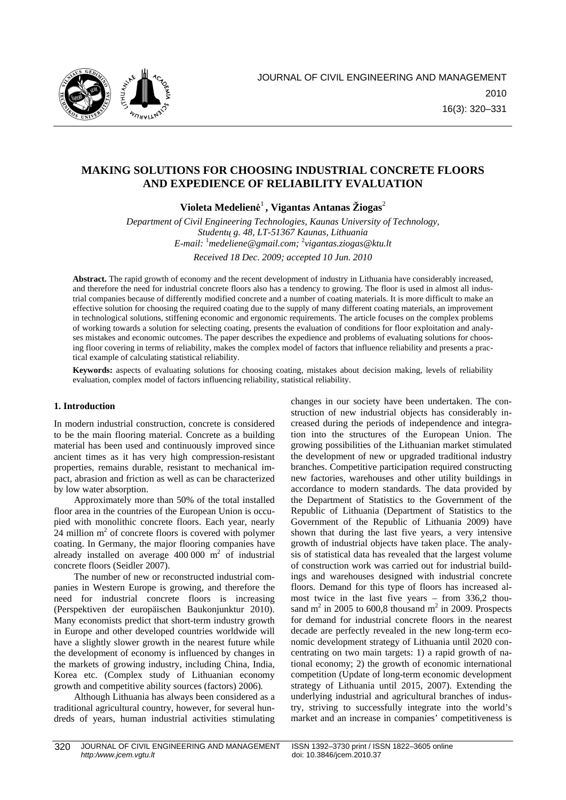

# **MAKING SOLUTIONS FOR CHOOSING INDUSTRIAL CONCRETE FLOORS AND EXPEDIENCE OF RELIABILITY EVALUATION**

**Violeta Medelienė** <sup>1</sup>**, Vigantas Antanas Žiogas**<sup>2</sup>

*Department of Civil Engineering Technologies, Kaunas University of Technology, Studentų g. 48, LT-51367 Kaunas, Lithuania E-mail:* <sup>1</sup> *medeliene@gmail.com;* <sup>2</sup> *vigantas.ziogas@ktu.lt Received 18 Dec. 2009; accepted 10 Jun. 2010* 

**Abstract.** The rapid growth of economy and the recent development of industry in Lithuania have considerably increased, and therefore the need for industrial concrete floors also has a tendency to growing. The floor is used in almost all industrial companies because of differently modified concrete and a number of coating materials. It is more difficult to make an effective solution for choosing the required coating due to the supply of many different coating materials, an improvement in technological solutions, stiffening economic and ergonomic requirements. The article focuses on the complex problems of working towards a solution for selecting coating, presents the evaluation of conditions for floor exploitation and analyses mistakes and economic outcomes. The paper describes the expedience and problems of evaluating solutions for choosing floor covering in terms of reliability, makes the complex model of factors that influence reliability and presents a practical example of calculating statistical reliability.

**Keywords:** aspects of evaluating solutions for choosing coating, mistakes about decision making, levels of reliability evaluation, complex model of factors influencing reliability, statistical reliability.

# **1. Introduction**

In modern industrial construction, concrete is considered to be the main flooring material. Concrete as a building material has been used and continuously improved since ancient times as it has very high compression-resistant properties, remains durable, resistant to mechanical impact, abrasion and friction as well as can be characterized by low water absorption.

Approximately more than 50% of the total installed floor area in the countries of the European Union is occupied with monolithic concrete floors. Each year, nearly  $24$  million  $m<sup>2</sup>$  of concrete floors is covered with polymer coating. In Germany, the major flooring companies have already installed on average  $400\,000\,\mathrm{m}^2$  of industrial concrete floors (Seidler 2007).

The number of new or reconstructed industrial companies in Western Europe is growing, and therefore the need for industrial concrete floors is increasing [\(Perspektiven der europäischen Baukonjunktur](http://www.baufachinformation.de/artikel.jsp?v=233390) 2010). Many economists predict that short-term industry growth in Europe and other developed countries worldwide will have a slightly slower growth in the nearest future while the development of economy is influenced by changes in the markets of growing industry, including China, India, Korea etc. (Complex study of Lithuanian economy growth and competitive ability sources (factors) 2006)*.*

Although Lithuania has always been considered as a traditional agricultural country, however, for several hundreds of years, human industrial activities stimulating

changes in our society have been undertaken. The construction of new industrial objects has considerably increased during the periods of independence and integration into the structures of the European Union. The growing possibilities of the Lithuanian market stimulated the development of new or upgraded traditional industry branches. Competitive participation required constructing new factories, warehouses and other utility buildings in accordance to modern standards. The data provided by the Department of Statistics to the Government of the Republic of Lithuania (Department of Statistics to the Government of the Republic of Lithuania 2009) have shown that during the last five years, a very intensive growth of industrial objects have taken place. The analysis of statistical data has revealed that the largest volume of construction work was carried out for industrial buildings and warehouses designed with industrial concrete floors. Demand for this type of floors has increased almost twice in the last five years – from 336,2 thousand  $m^2$  in 2005 to 600,8 thousand  $m^2$  in 2009. Prospects for demand for industrial concrete floors in the nearest decade are perfectly revealed in the new long-term economic development strategy of Lithuania until 2020 concentrating on two main targets: 1) a rapid growth of national economy; 2) the growth of economic international competition (Update of long-term economic development strategy of Lithuania until 2015, 2007). Extending the underlying industrial and agricultural branches of industry, striving to successfully integrate into the world's market and an increase in companies' competitiveness is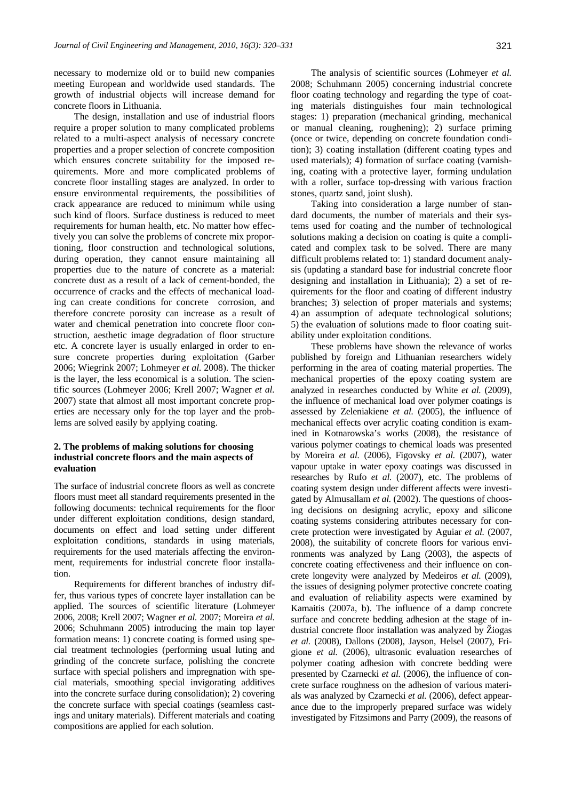necessary to modernize old or to build new companies meeting European and worldwide used standards. The growth of industrial objects will increase demand for concrete floors in Lithuania.

The design, installation and use of industrial floors require a proper solution to many complicated problems related to a multi-aspect analysis of necessary concrete properties and a proper selection of concrete composition which ensures concrete suitability for the imposed requirements. More and more complicated problems of concrete floor installing stages are analyzed. In order to ensure environmental requirements, the possibilities of crack appearance are reduced to minimum while using such kind of floors. Surface dustiness is reduced to meet requirements for human health, etc. No matter how effectively you can solve the problems of concrete mix proportioning, floor construction and technological solutions, during operation, they cannot ensure maintaining all properties due to the nature of concrete as a material: concrete dust as a result of a lack of cement-bonded, the occurrence of cracks and the effects of mechanical loading can create conditions for concrete corrosion, and therefore concrete porosity can increase as a result of water and chemical penetration into concrete floor construction, aesthetic image degradation of floor structure etc. A concrete layer is usually enlarged in order to ensure concrete properties during exploitation (Garber 2006; Wiegrink 2007; Lohmeyer *et al.* 2008). The thicker is the layer, the less economical is a solution. The scientific sources (Lohmeyer 2006; Krell 2007; Wagner *et al.* 2007) state that almost all most important concrete properties are necessary only for the top layer and the problems are solved easily by applying coating.

# **2. The problems of making solutions for choosing industrial concrete floors and the main aspects of evaluation**

The surface of industrial concrete floors as well as concrete floors must meet all standard requirements presented in the following documents: technical requirements for the floor under different exploitation conditions, design standard, documents on effect and load setting under different exploitation conditions, standards in using materials, requirements for the used materials affecting the environment, requirements for industrial concrete floor installation.

Requirements for different branches of industry differ, thus various types of concrete layer installation can be applied. The sources of scientific literature (Lohmeyer 2006, 2008; Krell 2007; Wagner *et al.* 2007; Moreira *et al.*  2006; Schuhmann 2005) introducing the main top layer formation means: 1) concrete coating is formed using special treatment technologies (performing usual luting and grinding of the concrete surface, polishing the concrete surface with special polishers and impregnation with special materials, smoothing special invigorating additives into the concrete surface during consolidation); 2) covering the concrete surface with special coatings (seamless castings and unitary materials). Different materials and coating compositions are applied for each solution.

The analysis of scientific sources (Lohmeyer *et al.* 2008; Schuhmann 2005) concerning industrial concrete floor coating technology and regarding the type of coating materials distinguishes four main technological stages: 1) preparation (mechanical grinding, mechanical or manual cleaning, roughening); 2) surface priming (once or twice, depending on concrete foundation condition); 3) coating installation (different coating types and used materials); 4) formation of surface coating (varnishing, coating with a protective layer, forming undulation with a roller, surface top-dressing with various fraction stones, quartz sand, joint slush).

Taking into consideration a large number of standard documents, the number of materials and their systems used for coating and the number of technological solutions making a decision on coating is quite a complicated and complex task to be solved. There are many difficult problems related to: 1) standard document analysis (updating a standard base for industrial concrete floor designing and installation in Lithuania); 2) a set of requirements for the floor and coating of different industry branches; 3) selection of proper materials and systems; 4) an assumption of adequate technological solutions; 5) the evaluation of solutions made to floor coating suitability under exploitation conditions.

These problems have shown the relevance of works published by foreign and Lithuanian researchers widely performing in the area of coating material properties. The mechanical properties of the epoxy coating system are analyzed in researches conducted by White *et al.* (2009), the influence of mechanical load over polymer coatings is assessed by Zeleniakiene *et al.* (2005), the influence of mechanical effects over acrylic coating condition is examined in Kotnarowska's works (2008), the resistance of various polymer coatings to chemical loads was presented by Moreira *et al.* (2006), Figovsky *et al.* (2007), water vapour uptake in water epoxy coatings was discussed in researches by Rufo *et al.* (2007), etc. The problems of coating system design under different affects were investigated by Almusallam *et al.* (2002). The questions of choosing decisions on designing acrylic, epoxy and silicone coating systems considering attributes necessary for concrete protection were investigated by Aguiar *et al.* (2007, 2008), the suitability of concrete floors for various environments was analyzed by Lang (2003), the aspects of concrete coating effectiveness and their influence on concrete longevity were analyzed by Medeiros *et al.* (2009), the issues of designing polymer protective concrete coating and evaluation of reliability aspects were examined by Kamaitis (2007a, b). The influence of a damp concrete surface and concrete bedding adhesion at the stage of industrial concrete floor installation was analyzed by Žiogas *et al.* (2008), Dallons (2008), Jayson, Helsel (2007), Frigione *et al.* (2006), ultrasonic evaluation researches of polymer coating adhesion with concrete bedding were presented by Czarnecki *et al.* (2006), the influence of concrete surface roughness on the adhesion of various materials was analyzed by Czarnecki *et al.* (2006), defect appearance due to the improperly prepared surface was widely investigated by Fitzsimons and Parry (2009), the reasons of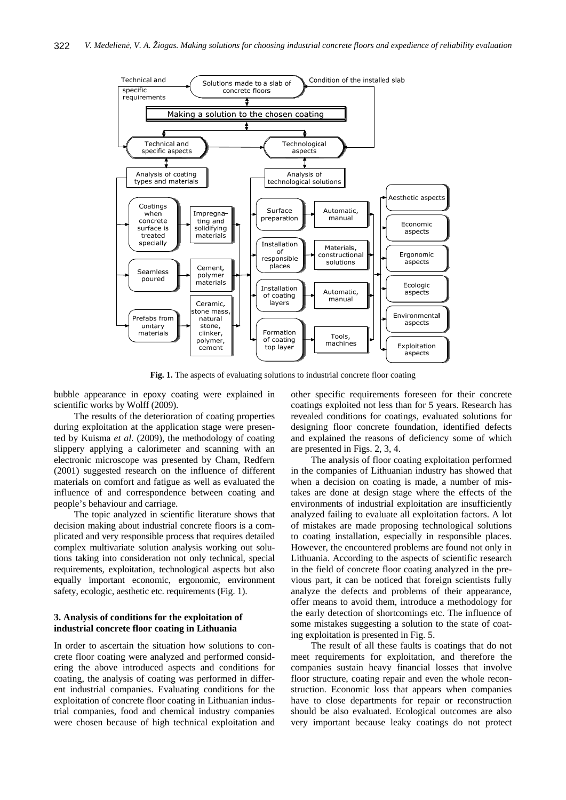

**Fig. 1.** The aspects of evaluating solutions to industrial concrete floor coating

bubble appearance in epoxy coating were explained in scientific works by Wolff (2009).

The results of the deterioration of coating properties during exploitation at the application stage were presented by Kuisma *et al.* (2009), the methodology of coating slippery applying a calorimeter and scanning with an electronic microscope was presented by Cham, Redfern (2001) suggested research on the influence of different materials on comfort and fatigue as well as evaluated the influence of and correspondence between coating and people's behaviour and carriage.

The topic analyzed in scientific literature shows that decision making about industrial concrete floors is a complicated and very responsible process that requires detailed complex multivariate solution analysis working out solutions taking into consideration not only technical, special requirements, exploitation, technological aspects but also equally important economic, ergonomic, environment safety, ecologic, aesthetic etc. requirements (Fig. 1).

# **3. Analysis of conditions for the exploitation of industrial concrete floor coating in Lithuania**

In order to ascertain the situation how solutions to concrete floor coating were analyzed and performed considering the above introduced aspects and conditions for coating, the analysis of coating was performed in different industrial companies. Evaluating conditions for the exploitation of concrete floor coating in Lithuanian industrial companies, food and chemical industry companies were chosen because of high technical exploitation and other specific requirements foreseen for their concrete coatings exploited not less than for 5 years. Research has revealed conditions for coatings, evaluated solutions for designing floor concrete foundation, identified defects and explained the reasons of deficiency some of which are presented in Figs. 2, 3, 4.

The analysis of floor coating exploitation performed in the companies of Lithuanian industry has showed that when a decision on coating is made, a number of mistakes are done at design stage where the effects of the environments of industrial exploitation are insufficiently analyzed failing to evaluate all exploitation factors. A lot of mistakes are made proposing technological solutions to coating installation, especially in responsible places. However, the encountered problems are found not only in Lithuania. According to the aspects of scientific research in the field of concrete floor coating analyzed in the previous part, it can be noticed that foreign scientists fully analyze the defects and problems of their appearance, offer means to avoid them, introduce a methodology for the early detection of shortcomings etc. The influence of some mistakes suggesting a solution to the state of coating exploitation is presented in Fig. 5.

The result of all these faults is coatings that do not meet requirements for exploitation, and therefore the companies sustain heavy financial losses that involve floor structure, coating repair and even the whole reconstruction. Economic loss that appears when companies have to close departments for repair or reconstruction should be also evaluated. Ecological outcomes are also very important because leaky coatings do not protect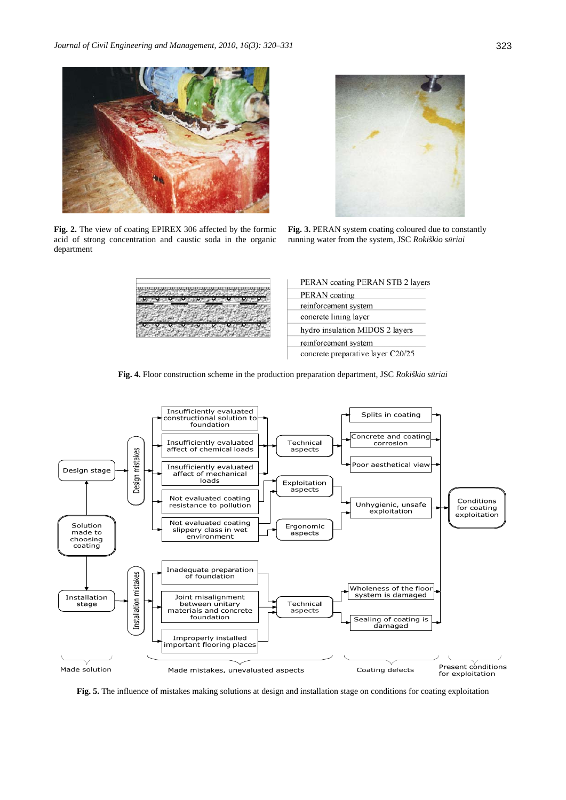

**Fig. 2.** The view of coating EPIREX 306 affected by the formic acid of strong concentration and caustic soda in the organic department



**Fig. 3.** PERAN system coating coloured due to constantly running water from the system, JSC *Rokiškio sūriai*

| PERAN coating PERAN STB 2 layers  |
|-----------------------------------|
| PERAN coating                     |
| reinforcement system              |
| concrete lining layer             |
| hydro insulation MIDOS 2 layers   |
| reinforcement system              |
| concrete preparative layer C20/25 |
|                                   |





**Fig. 5.** The influence of mistakes making solutions at design and installation stage on conditions for coating exploitation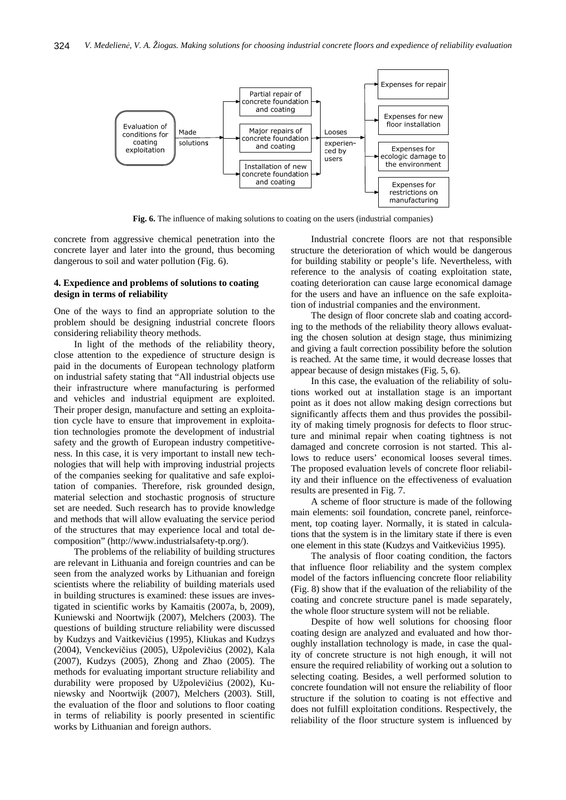

**Fig. 6.** The influence of making solutions to coating on the users (industrial companies)

concrete from aggressive chemical penetration into the concrete layer and later into the ground, thus becoming dangerous to soil and water pollution (Fig. 6).

# **4. Expedience and problems of solutions to coating design in terms of reliability**

One of the ways to find an appropriate solution to the problem should be designing industrial concrete floors considering reliability theory methods.

In light of the methods of the reliability theory, close attention to the expedience of structure design is paid in the documents of European technology platform on industrial safety stating that "All industrial objects use their infrastructure where manufacturing is performed and vehicles and industrial equipment are exploited. Their proper design, manufacture and setting an exploitation cycle have to ensure that improvement in exploitation technologies promote the development of industrial safety and the growth of European industry competitiveness. In this case, it is very important to install new technologies that will help with improving industrial projects of the companies seeking for qualitative and safe exploitation of companies. Therefore, risk grounded design, material selection and stochastic prognosis of structure set are needed. Such research has to provide knowledge and methods that will allow evaluating the service period of the structures that may experience local and total decomposition" (http://www.industrialsafety-tp.org/).

The problems of the reliability of building structures are relevant in Lithuania and foreign countries and can be seen from the analyzed works by Lithuanian and foreign scientists where the reliability of building materials used in building structures is examined: these issues are investigated in scientific works by Kamaitis (2007a, b, 2009), Kuniewski and Noortwijk (2007), Melchers (2003). The questions of building structure reliability were discussed by Kudzys and Vaitkevičius (1995), Kliukas and Kudzys (2004), Venckevičius (2005), Užpolevičius (2002), Kala (2007), Kudzys (2005), Zhong and Zhao (2005). The methods for evaluating important structure reliability and durability were proposed by Užpolevičius (2002), Kuniewsky and Noortwijk (2007), Melchers (2003). Still, the evaluation of the floor and solutions to floor coating in terms of reliability is poorly presented in scientific works by Lithuanian and foreign authors.

Industrial concrete floors are not that responsible structure the deterioration of which would be dangerous for building stability or people's life. Nevertheless, with reference to the analysis of coating exploitation state, coating deterioration can cause large economical damage for the users and have an influence on the safe exploitation of industrial companies and the environment.

The design of floor concrete slab and coating according to the methods of the reliability theory allows evaluating the chosen solution at design stage, thus minimizing and giving a fault correction possibility before the solution is reached. At the same time, it would decrease losses that appear because of design mistakes (Fig. 5, 6).

In this case, the evaluation of the reliability of solutions worked out at installation stage is an important point as it does not allow making design corrections but significantly affects them and thus provides the possibility of making timely prognosis for defects to floor structure and minimal repair when coating tightness is not damaged and concrete corrosion is not started. This allows to reduce users' economical looses several times. The proposed evaluation levels of concrete floor reliability and their influence on the effectiveness of evaluation results are presented in Fig. 7.

A scheme of floor structure is made of the following main elements: soil foundation, concrete panel, reinforcement, top coating layer. Normally, it is stated in calculations that the system is in the limitary state if there is even one element in this state (Kudzys and Vaitkevičius 1995).

The analysis of floor coating condition, the factors that influence floor reliability and the system complex model of the factors influencing concrete floor reliability (Fig. 8) show that if the evaluation of the reliability of the coating and concrete structure panel is made separately, the whole floor structure system will not be reliable.

Despite of how well solutions for choosing floor coating design are analyzed and evaluated and how thoroughly installation technology is made, in case the quality of concrete structure is not high enough, it will not ensure the required reliability of working out a solution to selecting coating. Besides, a well performed solution to concrete foundation will not ensure the reliability of floor structure if the solution to coating is not effective and does not fulfill exploitation conditions. Respectively, the reliability of the floor structure system is influenced by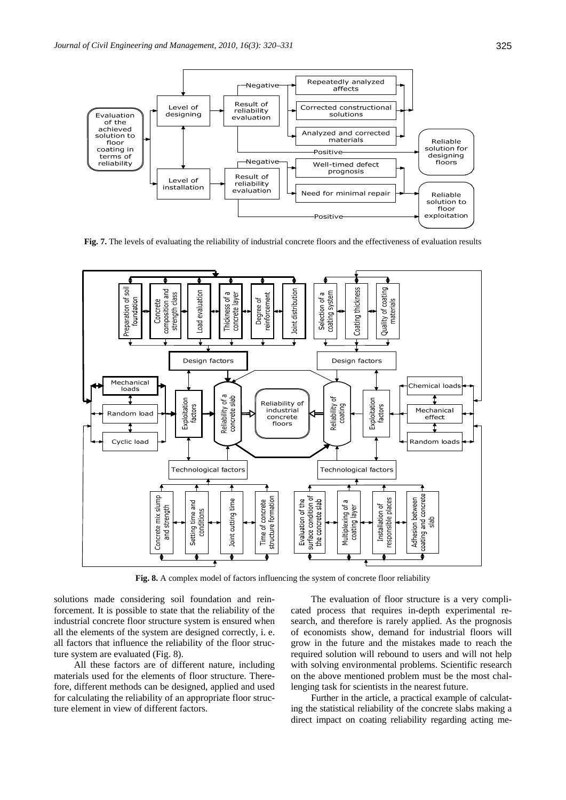

**Fig. 7.** The levels of evaluating the reliability of industrial concrete floors and the effectiveness of evaluation results



**Fig. 8.** A complex model of factors influencing the system of concrete floor reliability

solutions made considering soil foundation and reinforcement. It is possible to state that the reliability of the industrial concrete floor structure system is ensured when all the elements of the system are designed correctly, i. e. all factors that influence the reliability of the floor structure system are evaluated (Fig. 8).

All these factors are of different nature, including materials used for the elements of floor structure. Therefore, different methods can be designed, applied and used for calculating the reliability of an appropriate floor structure element in view of different factors.

The evaluation of floor structure is a very complicated process that requires in-depth experimental research, and therefore is rarely applied. As the prognosis of economists show, demand for industrial floors will grow in the future and the mistakes made to reach the required solution will rebound to users and will not help with solving environmental problems. Scientific research on the above mentioned problem must be the most challenging task for scientists in the nearest future.

Further in the article, a practical example of calculating the statistical reliability of the concrete slabs making a direct impact on coating reliability regarding acting me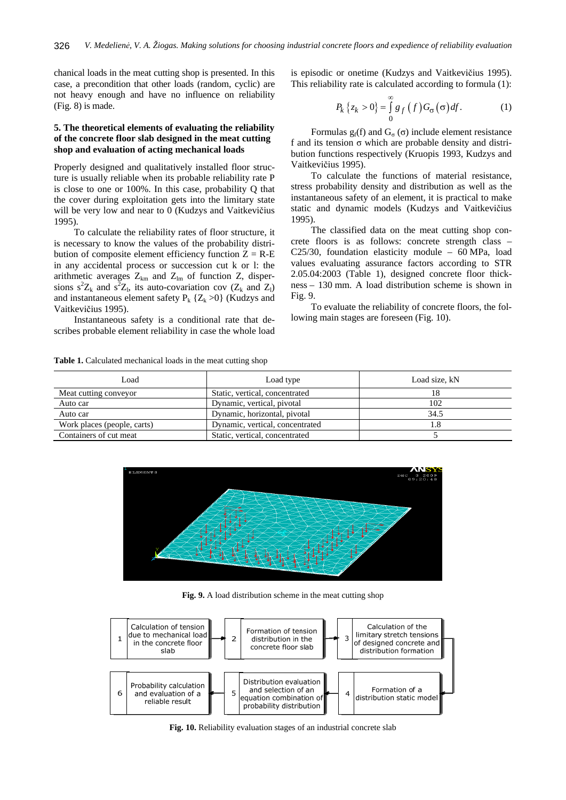chanical loads in the meat cutting shop is presented. In this case, a precondition that other loads (random, cyclic) are not heavy enough and have no influence on reliability (Fig. 8) is made.

## **5. The theoretical elements of evaluating the reliability of the concrete floor slab designed in the meat cutting shop and evaluation of acting mechanical loads**

Properly designed and qualitatively installed floor structure is usually reliable when its probable reliability rate P is close to one or 100%. In this case, probability Q that the cover during exploitation gets into the limitary state will be very low and near to 0 (Kudzys and Vaitkevičius 1995).

To calculate the reliability rates of floor structure, it is necessary to know the values of the probability distribution of composite element efficiency function  $Z = R-E$ in any accidental process or succession cut k or l: the arithmetic averages  $Z_{km}$  and  $Z_{lm}$  of function Z, dispersions  $s^2Z_k$  and  $s^2Z_l$ , its auto-covariation cov  $(Z_k \text{ and } Z_l)$ and instantaneous element safety  $P_k \{Z_k > 0\}$  (Kudzys and Vaitkevičius 1995).

Instantaneous safety is a conditional rate that describes probable element reliability in case the whole load

**Table 1.** Calculated mechanical loads in the meat cutting shop

is episodic or onetime (Kudzys and Vaitkevičius 1995). This reliability rate is calculated according to formula (1):

$$
P_k\left\{z_k > 0\right\} = \int\limits_0^\infty g_f\left(f\right)G_\sigma\left(\sigma\right)df. \tag{1}
$$

Formulas  $g_f(f)$  and  $G_\sigma(\sigma)$  include element resistance f and its tension  $\sigma$  which are probable density and distribution functions respectively (Kruopis 1993, Kudzys and Vaitkevičius 1995).

To calculate the functions of material resistance, stress probability density and distribution as well as the instantaneous safety of an element, it is practical to make static and dynamic models (Kudzys and Vaitkevičius 1995).

The classified data on the meat cutting shop concrete floors is as follows: concrete strength class – C25/30, foundation elasticity module – 60 MPa, load values evaluating assurance factors according to STR 2.05.04:2003 (Table 1), designed concrete floor thickness – 130 mm. A load distribution scheme is shown in Fig. 9.

To evaluate the reliability of concrete floors, the following main stages are foreseen (Fig. 10).

| Auto car                    | Dynamic, horizontal, pivotal    | 34.5                      |  |
|-----------------------------|---------------------------------|---------------------------|--|
| Work places (people, carts) | Dynamic, vertical, concentrated | 1.8                       |  |
| Containers of cut meat      | Static, vertical, concentrated  |                           |  |
|                             |                                 |                           |  |
|                             |                                 | <b>ANSYS</b>              |  |
| <b>ELEMENTS</b>             |                                 | 3 2009<br>DEC<br>09:20:48 |  |
|                             |                                 |                           |  |

Load Load Load type Load size, kN

Meat cutting conveyor Static, vertical, concentrated 18 Auto car Dynamic, vertical, pivotal 102

**Fig. 9.** A load distribution scheme in the meat cutting shop



**Fig. 10.** Reliability evaluation stages of an industrial concrete slab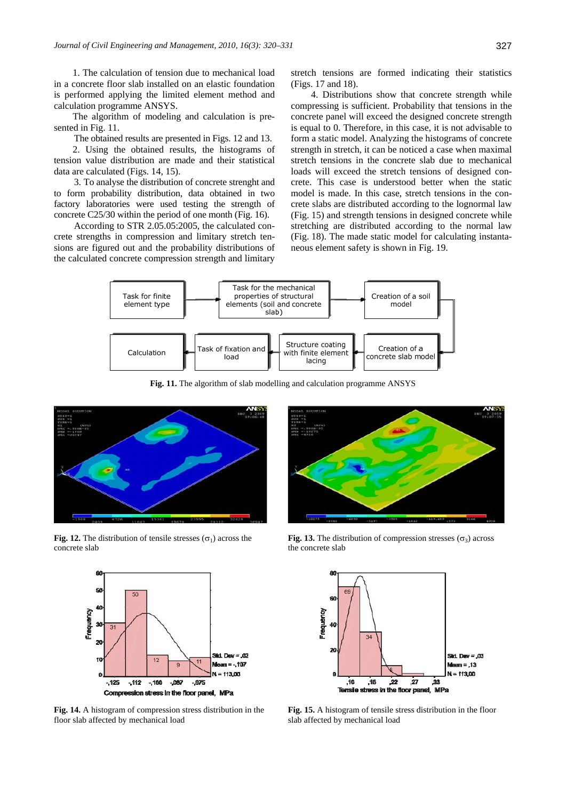1. The calculation of tension due to mechanical load in a concrete floor slab installed on an elastic foundation is performed applying the limited element method and calculation programme ANSYS.

The algorithm of modeling and calculation is presented in Fig. 11.

The obtained results are presented in Figs. 12 and 13.

2. Using the obtained results, the histograms of tension value distribution are made and their statistical data are calculated (Figs. 14, 15).

3. To analyse the distribution of concrete strenght and to form probability distribution, data obtained in two factory laboratories were used testing the strength of concrete C25/30 within the period of one month (Fig. 16).

According to STR 2.05.05:2005, the calculated concrete strengths in compression and limitary stretch tensions are figured out and the probability distributions of the calculated concrete compression strength and limitary stretch tensions are formed indicating their statistics (Figs. 17 and 18).

4. Distributions show that concrete strength while compressing is sufficient. Probability that tensions in the concrete panel will exceed the designed concrete strength is equal to 0. Therefore, in this case, it is not advisable to form a static model. Analyzing the histograms of concrete strength in stretch, it can be noticed a case when maximal stretch tensions in the concrete slab due to mechanical loads will exceed the stretch tensions of designed concrete. This case is understood better when the static model is made. In this case, stretch tensions in the concrete slabs are distributed according to the lognormal law (Fig. 15) and strength tensions in designed concrete while stretching are distributed according to the normal law (Fig. 18). The made static model for calculating instantaneous element safety is shown in Fig. 19.



**Fig. 11.** The algorithm of slab modelling and calculation programme ANSYS



**Fig. 12.** The distribution of tensile stresses ( $\sigma_1$ ) across the concrete slab



**Fig. 14.** A histogram of compression stress distribution in the floor slab affected by mechanical load



**Fig. 13.** The distribution of compression stresses  $(\sigma_3)$  across the concrete slab



**Fig. 15.** A histogram of tensile stress distribution in the floor slab affected by mechanical load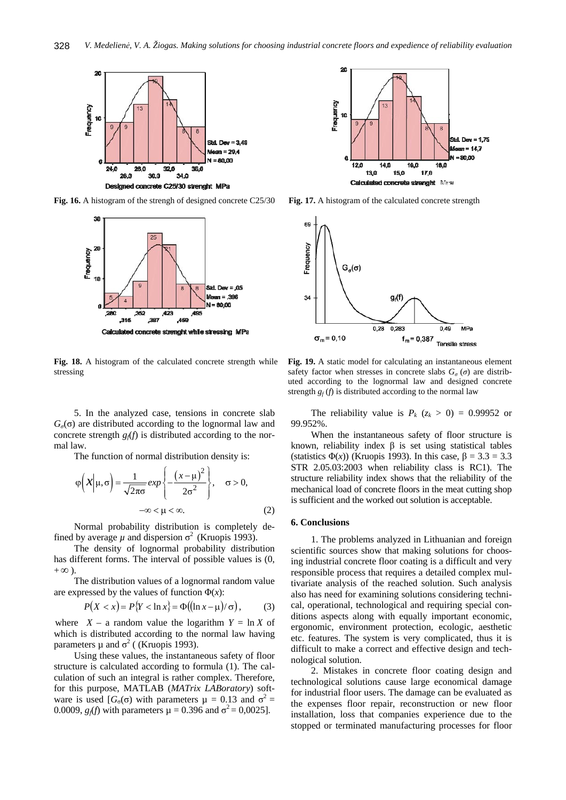

**Fig. 16.** A histogram of the strengh of designed concrete C25/30 **Fig. 17.** A histogram of the calculated concrete strength



**Fig. 18.** A histogram of the calculated concrete strength while stressing

5. In the analyzed case, tensions in concrete slab *Gσ*(σ) are distributed according to the lognormal law and concrete strength  $g_f(f)$  is distributed according to the normal law.

The function of normal distribution density is:

$$
\varphi\left(\mathcal{X}\middle|\mu,\sigma\right) = \frac{1}{\sqrt{2\pi\sigma}} \exp\left\{-\frac{\left(x-\mu\right)^2}{2\sigma^2}\right\}, \quad \sigma > 0,
$$
  

$$
-\infty < \mu < \infty.
$$
 (2)

Normal probability distribution is completely defined by average  $\mu$  and dispersion  $\sigma^2$  (Kruopis 1993).

The density of lognormal probability distribution has different forms. The interval of possible values is (0,  $+\infty$ ).

The distribution values of a lognormal random value are expressed by the values of function  $\Phi(x)$ :

$$
P(X < x) = P\{Y < \ln x\} = \Phi((\ln x - \mu)/\sigma),\tag{3}
$$

where  $X - a$  random value the logarithm  $Y = \ln X$  of which is distributed according to the normal law having parameters  $\mu$  and  $\sigma^2$  ((Kruopis 1993).

Using these values, the instantaneous safety of floor structure is calculated according to formula (1). The calculation of such an integral is rather complex. Therefore, for this purpose, MATLAB (*MATrix LABoratory*) software is used  $[G_{\sigma}(\sigma)]$  with parameters  $\mu = 0.13$  and  $\sigma^2 =$ 0.0009,  $g_f(f)$  with parameters  $\mu = 0.396$  and  $\sigma^2 = 0.0025$ ].





**Fig. 19.** A static model for calculating an instantaneous element safety factor when stresses in concrete slabs  $G_{\sigma}(\sigma)$  are distributed according to the lognormal law and designed concrete strength  $g_f(f)$  is distributed according to the normal law

The reliability value is  $P_k$  ( $z_k > 0$ ) = 0.99952 or 99.952%.

When the instantaneous safety of floor structure is known, reliability index β is set using statistical tables (statistics  $\Phi(x)$ ) (Kruopis 1993). In this case,  $\beta = 3.3 = 3.3$ STR 2.05.03:2003 when reliability class is RC1). The structure reliability index shows that the reliability of the mechanical load of concrete floors in the meat cutting shop is sufficient and the worked out solution is acceptable.

#### **6. Conclusions**

1. The problems analyzed in Lithuanian and foreign scientific sources show that making solutions for choosing industrial concrete floor coating is a difficult and very responsible process that requires a detailed complex multivariate analysis of the reached solution. Such analysis also has need for examining solutions considering technical, operational, technological and requiring special conditions aspects along with equally important economic, ergonomic, environment protection, ecologic, aesthetic etc. features. The system is very complicated, thus it is difficult to make a correct and effective design and technological solution.

2. Mistakes in concrete floor coating design and technological solutions cause large economical damage for industrial floor users. The damage can be evaluated as the expenses floor repair, reconstruction or new floor installation, loss that companies experience due to the stopped or terminated manufacturing processes for floor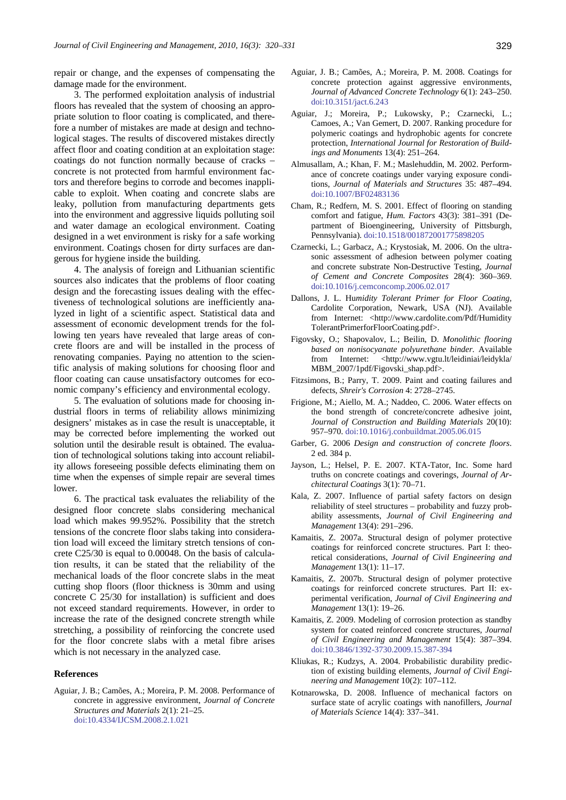repair or change, and the expenses of compensating the damage made for the environment.

3. The performed exploitation analysis of industrial floors has revealed that the system of choosing an appropriate solution to floor coating is complicated, and therefore a number of mistakes are made at design and technological stages. The results of discovered mistakes directly affect floor and coating condition at an exploitation stage: coatings do not function normally because of cracks – concrete is not protected from harmful environment factors and therefore begins to corrode and becomes inapplicable to exploit. When coating and concrete slabs are leaky, pollution from manufacturing departments gets into the environment and aggressive liquids polluting soil and water damage an ecological environment. Coating designed in a wet environment is risky for a safe working environment. Coatings chosen for dirty surfaces are dangerous for hygiene inside the building.

4. The analysis of foreign and Lithuanian scientific sources also indicates that the problems of floor coating design and the forecasting issues dealing with the effectiveness of technological solutions are inefficiently analyzed in light of a scientific aspect. Statistical data and assessment of economic development trends for the following ten years have revealed that large areas of concrete floors are and will be installed in the process of renovating companies. Paying no attention to the scientific analysis of making solutions for choosing floor and floor coating can cause unsatisfactory outcomes for economic company's efficiency and environmental ecology.

5. The evaluation of solutions made for choosing industrial floors in terms of reliability allows minimizing designers' mistakes as in case the result is unacceptable, it may be corrected before implementing the worked out solution until the desirable result is obtained. The evaluation of technological solutions taking into account reliability allows foreseeing possible defects eliminating them on time when the expenses of simple repair are several times lower.

6. The practical task evaluates the reliability of the designed floor concrete slabs considering mechanical load which makes 99.952%. Possibility that the stretch tensions of the concrete floor slabs taking into consideration load will exceed the limitary stretch tensions of concrete C25/30 is equal to 0.00048. On the basis of calculation results, it can be stated that the reliability of the mechanical loads of the floor concrete slabs in the meat cutting shop floors (floor thickness is 30mm and using concrete C 25/30 for installation) is sufficient and does not exceed standard requirements. However, in order to increase the rate of the designed concrete strength while stretching, a possibility of reinforcing the concrete used for the floor concrete slabs with a metal fibre arises which is not necessary in the analyzed case.

#### **References**

Aguiar, J. B.; Camões, A.; Moreira, P. M. 2008. Performance of concrete in aggressive environment, *Journal of Concrete Structures and Materials* 2(1): 21–25. [doi:10.4334/IJCSM.2008.2.1.021](http://dx.doi.org/10.4334/IJCSM.2008.2.1.021)

- [Aguiar](http://www.jstage.jst.go.jp/search/?typej=on&typep=on&typer=on&d3=au&dp3=Jos%26eacute%3B+B.+Aguiar&ca=999999&alang=all&rev=all&pl=20&search=%8C%9F%8D%F5%8E%C0%8Ds), J. B.; [Camões](http://www.jstage.jst.go.jp/search/?typej=on&typep=on&typer=on&d3=au&dp3=Aires+Cam%26otilde%3Bes&ca=999999&alang=all&rev=all&pl=20&search=%8C%9F%8D%F5%8E%C0%8Ds), A.; [Moreira,](http://www.jstage.jst.go.jp/search/?typej=on&typep=on&typer=on&d3=au&dp3=Pedro+M.+Moreira&ca=999999&alang=all&rev=all&pl=20&search=%8C%9F%8D%F5%8E%C0%8Ds) P. M. 2008. Coatings for concrete protection against aggressive environments, *Journal of Advanced Concrete Technology* 6(1): 243–250. [doi:10.3151/jact.6.243](http://dx.doi.org/10.3151/jact.6.243)
- Aguiar, J.; Moreira, P.; Lukowsky, P.; Czarnecki, L.; Camoes, A.; Van Gemert, D. 2007. Ranking procedure for polymeric coatings and hydrophobic agents for concrete protection, *International Journal for Restoration of Buildings and Monuments* 13(4): 251–264.
- Almusallam, A.; Khan, F. M.; Maslehuddin, M. 2002. Performance of concrete coatings under varying exposure conditions, *Journal of Materials and Structures* 35: 487–494. [doi:10.1007/BF02483136](http://dx.doi.org/10.1007/BF02483136)
- Cham, R.; Redfern, M. S. 2001. Effect of flooring on standing comfort and fatigue, *Hum. Factors* 43(3): 381–391 (Department of Bioengineering, University of Pittsburgh, Pennsylvania). [doi:10.1518/001872001775898205](http://dx.doi.org/10.1518/001872001775898205)
- Czarnecki, L.; Garbacz, A.; Krystosiak, M. 2006. On the ultrasonic assessment of adhesion between polymer coating and concrete substrate Non-Destructive Testing, *Journal of [Cement and Concrete Composites](http://translate.googleusercontent.com/translate_c?hl=en&ie=UTF-8&sl=en&tl=lt&u=http://www.sciencedirect.com/science/journal/09589465&prev=_t&rurl=translate.google.com&usg=ALkJrhhlvkSt8aA1UB2VJzJQ3xI6U5Ogog)* [28\(4\)](http://translate.googleusercontent.com/translate_c?hl=en&ie=UTF-8&sl=en&tl=lt&u=http://www.sciencedirect.com/science%3F_ob%3DPublicationURL%26_tockey%3D%2523TOC%25235561%25232006%2523999719995%2523621691%2523FLA%2523%26_cdi%3D5561%26_pubType%3DJ%26view%3Dc%26_auth%3Dy%26_acct%3DC000050221%26_version%3D1%26_urlVersion%3D0%26_userid%3D10%26md5%3D40a0b75195defb74fa563375271cb359&prev=_t&rurl=translate.google.com&usg=ALkJrhiK1Nt5gwcsAm4rmLS1kFVgeVynzg): 360–369. [doi:10.1016/j.cemconcomp.2006.02.017](http://dx.doi.org/10.1016/j.cemconcomp.2006.02.017)
- Dallons, J. L. Hu*midity Tolerant Primer for Floor Coating,* Cardolite Corporation, Newark, USA (NJ). Available from Internet: <http://www.cardolite.com/Pdf/Humidity TolerantPrimerforFloorCoating.pdf>.
- Figovsky, O.; Shapovalov, L.; Beilin, D. *Monolithic flooring based on nonisocyanate polyurethane binder.* Available from Internet: <http://www.vgtu.lt/leidiniai/leidykla/ MBM\_2007/1pdf/Figovski\_shap.pdf>.
- Fitzsimons, B.; Parry, T. 2009. Paint and coating failures and defects, *Shreir's Corrosion* 4: 2728–2745.
- Frigione, M.; Aiello, M. A.; Naddeo, C. 2006. [Water effects on](http://www.sciencedirect.com/science?_ob=ArticleURL&_udi=B6V2G-4H4T0SB-2&_user=10&_coverDate=12%2F31%2F2006&_rdoc=15&_fmt=high&_orig=browse&_srch=doc-info%28%23toc%235702%232006%23999799989%23626010%23FLA%23display%23Volume%29&_cdi=5702&_sort=d&_docanchor=&_ct=32&_acct=C000050221&_version=1&_urlVersion=0&_userid=10&md5=7d0b715ce7ed24b8ef540edc393eeaca)  [the bond strength of concrete/concrete adhesive joint](http://www.sciencedirect.com/science?_ob=ArticleURL&_udi=B6V2G-4H4T0SB-2&_user=10&_coverDate=12%2F31%2F2006&_rdoc=15&_fmt=high&_orig=browse&_srch=doc-info%28%23toc%235702%232006%23999799989%23626010%23FLA%23display%23Volume%29&_cdi=5702&_sort=d&_docanchor=&_ct=32&_acct=C000050221&_version=1&_urlVersion=0&_userid=10&md5=7d0b715ce7ed24b8ef540edc393eeaca), *Journal of [Construction and Building Materials](http://www.sciencedirect.com/science/journal/09500618)* [20\(10](http://www.sciencedirect.com/science?_ob=PublicationURL&_tockey=%23TOC%235702%232006%23999799989%23626010%23FLA%23&_cdi=5702&_pubType=J&view=c&_auth=y&_acct=C000050221&_version=1&_urlVersion=0&_userid=10&md5=354f7453d20f512a90cbab5eddabb228)): 957–970. [doi:10.1016/j.conbuildmat.2005.06.015](http://dx.doi.org/10.1016/j.conbuildmat.2005.06.015)
- Garber, G. 2006 *Design and construction of concrete floors*. 2 ed. 384 p.
- Jayson, L.; Helsel, P. E. 2007. KTA-Tator, Inc. Some hard truths on concrete coatings and coverings, *Journal of Architectural Coatings* 3(1): 70–71.
- Kala, Z. 2007. Influence of partial safety factors on design reliability of steel structures – probability and fuzzy probability assessments, *Journal of Civil Engineering and Management* 13(4): 291–296.
- Kamaitis, Z. 2007a. Structural design of polymer protective coatings for reinforced concrete structures. Part I: theoretical considerations, *Journal of Civil Engineering and Management* 13(1): 11–17.
- Kamaitis, Z. 2007b. Structural design of polymer protective coatings for reinforced concrete structures. Part II: experimental verification, *Journal of Civil Engineering and Management* 13(1): 19–26.
- Kamaitis, Z. 2009. Modeling of corrosion protection as standby system for coated reinforced concrete structures, *Journal of Civil Engineering and Management* 15(4): 387–394. [doi:10.3846/1392-3730.2009.15.387-394](http://dx.doi.org/10.3846/1392-3730.2009.15.387-394)
- Kliukas, R.; Kudzys, A. 2004. Probabilistic durability prediction of existing building elements, *Journal of Civil Engineering and Management* 10(2): 107–112.
- Kotnarowska, D. 2008. Influence of mechanical factors on surface state of acrylic coatings with nanofillers, *Journal of Materials Science* 14(4): 337–341.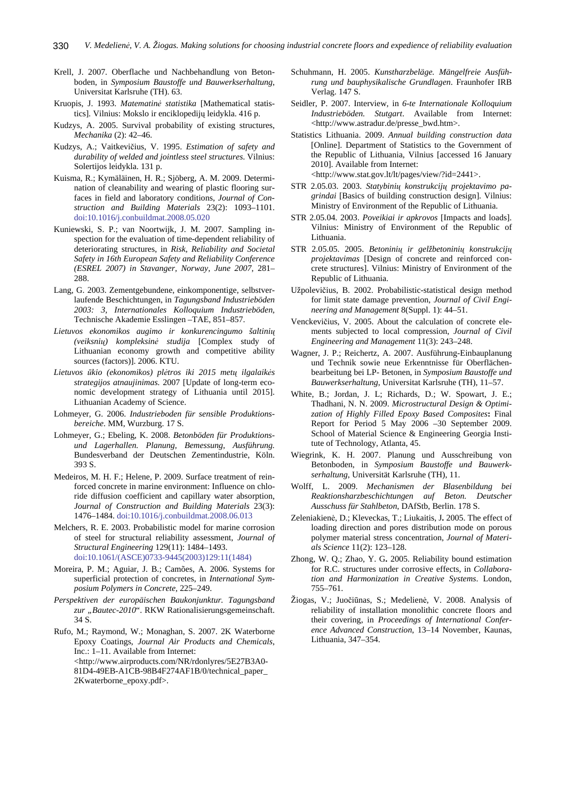- Krell, J. 2007. Oberflache und Nachbehandlung von Betonboden, in *Symposium Baustoffe und Bauwerkserhaltung*, Universitat Karlsruhe (TH). 63.
- Kruopis, J. 1993. *Matematinė statistika* [Mathematical statistics]*.* Vilnius: Mokslo ir enciklopedijų leidykla. 416 p.
- Kudzys, A. 2005. Survival probability of existing structures, *Mechanika* (2): 42–46.
- Kudzys, A.; Vaitkevičius, V. 1995. *Estimation of safety and durability of welded and jointless steel structures*. Vilnius: Solertijos leidykla. 131 p.
- Kuisma, R.; Kymäläinen, H. R.; Sjöberg, A. M. 2009. Determination of cleanability and wearing of plastic flooring surfaces in field and laboratory conditions, *Journal of Construction and Building Materials* 23(2): 1093–1101. [doi:10.1016/j.conbuildmat.2008.05.020](http://dx.doi.org/10.1016/j.conbuildmat.2008.05.020)
- Kuniewski, S. P.; van Noortwijk, J. M. 2007. Sampling inspection for the evaluation of time-dependent reliability of deteriorating structures, in *Risk, Reliability and Societal Safety in 16th European Safety and Reliability Conference (ESREL 2007) in Stavanger, Norway, June 2007*, 281– 288.
- Lang, G. 2003. Zementgebundene, einkomponentige, selbstverlaufende Beschichtungen, in *Tagungsband Industrieböden 2003: 3, Internationales Kolloquium Industrieböden,*  Technische Akademie Esslingen –TAE, 851–857.
- *Lietuvos ekonomikos augimo ir konkurencingumo šaltinių (veiksnių) kompleksinė studija* [Complex study of Lithuanian economy growth and competitive ability sources (factors)]. 2006. KTU.
- *Lietuvos ūkio (ekonomikos) plėtros iki 2015 metų ilgalaikės strategijos atnaujinimas.* 2007 [Update of long-term economic development strategy of Lithuania until 2015]. Lithuanian Academy of Science.
- Lohmeyer, G. 2006. *Industrieboden für sensible Produktionsbereiche*. MM, Wurzburg. 17 S.
- Lohmeyer, G.; Ebeling, K. 2008. *Betonböden für Produktionsund Lagerhallen. Planung, Bemessung, Ausführung.*  Bundesverband der Deutschen Zementindustrie, Köln. 393 S.
- Medeiros, M. H. F.; Helene, P. 2009. Surface treatment of reinforced concrete in marine environment: Influence on chloride diffusion coefficient and capillary water absorption, *Journal of Construction and Building Materials* 23(3): 1476–1484. [doi:10.1016/j.conbuildmat.2008.06.013](http://dx.doi.org/10.1016/j.conbuildmat.2008.06.013)
- Melchers, R. E. 2003. Probabilistic model for marine corrosion of steel for structural reliability assessment, *Journal of Structural Engineering* 129(11): 1484–1493. [doi:10.1061/\(ASCE\)0733-9445\(2003\)129:11\(1484\)](http://dx.doi.org/10.1061/(ASCE)0733-9445(2003)129:11(1484))
- Moreira, P. M.; Aguiar, J. B.; Camões, A. 2006. Systems for superficial protection of concretes, in *International Symposium Polymers in Concrete,* 225–249.
- *[Perspektiven der europäischen Baukonjunktur.](http://www.baufachinformation.de/artikel.jsp?v=233390) Tagungsband*  zur "Bautec-2010". RKW Rationalisierungsgemeinschaft. 34 S.
- Rufo, M.; Raymond, W.; Monaghan, S. 2007. 2K Waterborne Epoxy Coatings, *Journal Air Products and Chemicals*, Inc.: 1–11. Available from Internet: [<http://www.airproducts.com/NR/rdonlyres/5E27B3A0-](http://www.airproducts.com/NR/rdonlyres/5E27B3A0-81D4-49EB-A1CB-98B4F274AF1B/0/technical_paper_%202Kwaterborne_epoxy.pdf) [81D4-49EB-A1CB-98B4F274AF1B/0/technical\\_paper\\_](http://www.airproducts.com/NR/rdonlyres/5E27B3A0-81D4-49EB-A1CB-98B4F274AF1B/0/technical_paper_%202Kwaterborne_epoxy.pdf)  [2Kwaterborne\\_epoxy.pdf](http://www.airproducts.com/NR/rdonlyres/5E27B3A0-81D4-49EB-A1CB-98B4F274AF1B/0/technical_paper_%202Kwaterborne_epoxy.pdf)>.
- Schuhmann, H. 2005. *Kunstharzbeläge. Mängelfreie Ausführung und bauphysikalische Grundlagen*. Fraunhofer IRB Verlag. 147 S.
- Seidler, P. 2007. Interview*,* in *6-te Internationale Kolloquium Industrieböden. Stutgart*. Available from Internet: <http://www.astradur.de/presse\_bwd.htm>.
- Statistics Lithuania. 2009. *Annual building construction data* [Online]. Department of Statistics to the Government of the Republic of Lithuania, Vilnius [accessed 16 January 2010]. Available from Internet: <http://www.stat.gov.lt/lt/pages/view/?id=2441>.
- STR 2.05.03. 2003. *Statybinių konstrukcijų projektavimo pagrindai* [Basics of building construction design]. Vilnius: Ministry of Environment of the Republic of Lithuania.
- STR 2.05.04. 2003. *Poveikiai ir apkrovos* [Impacts and loads]. Vilnius: Ministry of Environment of the Republic of Lithuania.
- STR 2.05.05. 2005. *Betoninių ir gelžbetoninių konstrukcijų projektavimas* [Design of concrete and reinforced concrete structures]. Vilnius: Ministry of Environment of the Republic of Lithuania.
- Užpolevičius, B. 2002. Probabilistic-statistical design method for limit state damage prevention, *Journal of Civil Engineering and Management* 8(Suppl. 1): 44–51.
- Venckevičius, V. 2005. About the calculation of concrete elements subjected to local compression, *Journal of Civil Engineering and Management* 11(3): 243–248.
- Wagner, J. P.; Reichertz, A. 2007. Ausführung-Einbauplanung und Technik sowie neue Erkenntnisse für Oberflächenbearbeitung bei LP- Betonen, in *Symposium Baustoffe und Bauwerkserhaltung*, Universitat Karlsruhe (TH), 11–57.
- White, B.; Jordan, J. L; Richards, D.; W. [Spowart,](http://www.stormingmedia.us/authors/Spowart__Jonathan_E.html) J. E.; [Thadhani](http://www.stormingmedia.us/authors/Thadhani__Naresh_N.html), N. N. 2009. *Microstructural Design & Optimization of Highly Filled Epoxy Based Composites***:** Final Report for Period 5 May 2006 –30 September 2009. School of Material Science & Engineering Georgia Institute of Technology, Atlanta, 45.
- Wiegrink, K. H. 2007. Planung und Ausschreibung von Betonboden, in *Symposium Baustoffe und Bauwerkserhaltung*, Universität Karlsruhe (TH), 11.
- Wolff, L. 2009. *Mechanismen der Blasenbildung bei Reaktionsharzbeschichtungen auf Beton. Deutscher Ausschuss für Stahlbeton*, DAfStb, Berlin. 178 S.
- Zeleniakienė, D.; Kleveckas, T.; Liukaitis, J**.** 2005. The effect of loading direction and pores distribution mode on porous polymer material stress concentration, *Journal of Materials Science* 11(2): 123–128.
- Zhong, W. Q.; Zhao, Y. G**.** 2005. Reliability bound estimation for R.C. structures under corrosive effects, in *Collaboration and Harmonization in Creative Systems*. London, 755–761.
- Žiogas, V.; Juočiūnas, S.; Medelienė, V. 2008. Analysis of reliability of installation monolithic concrete floors and their covering, in *Proceedings of International Conference Advanced Construction*, 13–14 November, Kaunas, Lithuania, 347–354.